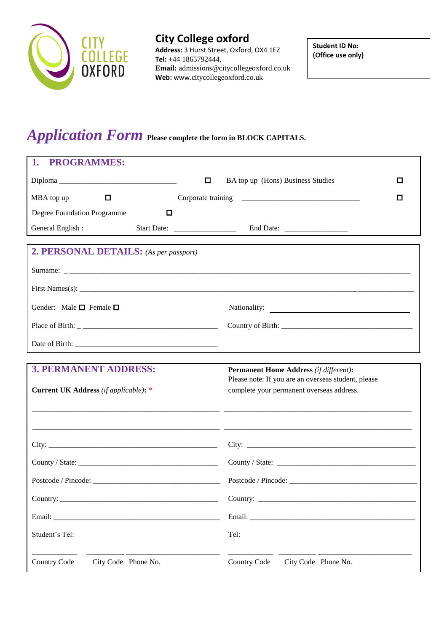

# **City College oxford**

**Address:** 3 Hurst Street, Oxford, OX4 1EZ **Tel:** +44 1865792444, **Email:** admissions@citycollegeoxford.co.uk **Web:** www.citycollegeoxford.co.uk

**Student ID No: (Office use only)**

# *Application Form* **Please complete the form in BLOCK CAPITALS.**

| <b>PROGRAMMES:</b><br>1.                     |                                                                                                      |
|----------------------------------------------|------------------------------------------------------------------------------------------------------|
| o                                            | BA top up (Hons) Business Studies<br>□                                                               |
| MBA top up<br>0                              | □                                                                                                    |
| Degree Foundation Programme<br>□             |                                                                                                      |
| General English:                             |                                                                                                      |
| 2. PERSONAL DETAILS: (As per passport)       |                                                                                                      |
|                                              |                                                                                                      |
|                                              |                                                                                                      |
| Gender: Male $\square$ Female $\square$      |                                                                                                      |
|                                              |                                                                                                      |
|                                              |                                                                                                      |
|                                              |                                                                                                      |
| <b>3. PERMANENT ADDRESS:</b>                 | <b>Permanent Home Address (if different):</b><br>Please note: If you are an overseas student, please |
| <b>Current UK Address</b> (if applicable): * | complete your permanent overseas address.                                                            |
|                                              |                                                                                                      |
|                                              |                                                                                                      |
|                                              |                                                                                                      |
| County / State:                              |                                                                                                      |
|                                              |                                                                                                      |
|                                              |                                                                                                      |
|                                              |                                                                                                      |
| Student's Tel:                               | Tel:                                                                                                 |
| City Code Phone No.<br><b>Country Code</b>   | City Code Phone No.<br><b>Country Code</b>                                                           |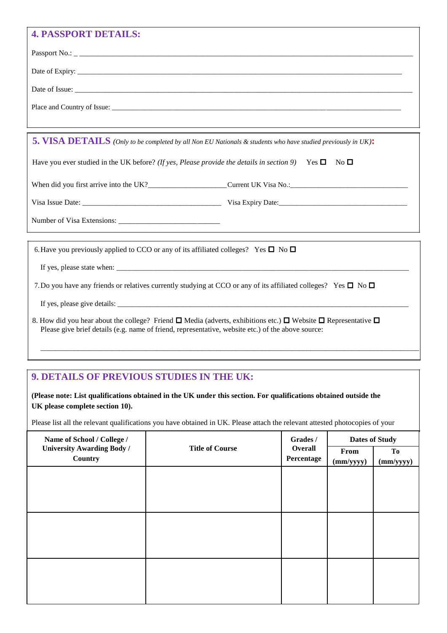# **4. DASSPORT DETAILS:**

| 4. FANNFUNT DE FAILN.                                                                                                                                                                                                                    |
|------------------------------------------------------------------------------------------------------------------------------------------------------------------------------------------------------------------------------------------|
|                                                                                                                                                                                                                                          |
|                                                                                                                                                                                                                                          |
|                                                                                                                                                                                                                                          |
|                                                                                                                                                                                                                                          |
|                                                                                                                                                                                                                                          |
| 5. VISA DETAILS (Only to be completed by all Non EU Nationals & students who have studied previously in UK):                                                                                                                             |
| Have you ever studied in the UK before? (If yes, Please provide the details in section 9) Yes $\square$ No $\square$                                                                                                                     |
|                                                                                                                                                                                                                                          |
|                                                                                                                                                                                                                                          |
|                                                                                                                                                                                                                                          |
|                                                                                                                                                                                                                                          |
| 6. Have you previously applied to CCO or any of its affiliated colleges? Yes $\square$ No $\square$                                                                                                                                      |
|                                                                                                                                                                                                                                          |
| 7. Do you have any friends or relatives currently studying at CCO or any of its affiliated colleges? Yes $\Box$ No $\Box$                                                                                                                |
|                                                                                                                                                                                                                                          |
| 8. How did you hear about the college? Friend $\Box$ Media (adverts, exhibitions etc.) $\Box$ Website $\Box$ Representative $\Box$<br>Please give brief details (e.g. name of friend, representative, website etc.) of the above source: |

J

## **9. DETAILS OF PREVIOUS STUDIES IN THE UK:**

**(Please note: List qualifications obtained in the UK under this section. For qualifications obtained outside the UK please complete section 10).**

Please list all the relevant qualifications you have obtained in UK. Please attach the relevant attested photocopies of your

\_\_\_\_\_\_\_\_\_\_\_\_\_\_\_\_\_\_\_\_\_\_\_\_\_\_\_\_\_\_\_\_\_\_\_\_\_\_\_\_\_\_\_\_\_\_\_\_\_\_\_\_\_\_\_\_\_\_\_\_\_\_\_\_\_\_\_\_\_\_\_\_\_\_\_\_\_\_\_\_\_\_\_\_\_\_\_\_\_\_\_\_\_\_\_\_\_\_\_\_\_

| Name of School / College /                   | Grades /               |                       | <b>Dates of Study</b> |           |
|----------------------------------------------|------------------------|-----------------------|-----------------------|-----------|
| <b>University Awarding Body /</b><br>Country | <b>Title of Course</b> | Overall<br>Percentage | From                  | To        |
|                                              |                        |                       | (mm/yyyy)             | (mm/yyyy) |
|                                              |                        |                       |                       |           |
|                                              |                        |                       |                       |           |
|                                              |                        |                       |                       |           |
|                                              |                        |                       |                       |           |
|                                              |                        |                       |                       |           |
|                                              |                        |                       |                       |           |
|                                              |                        |                       |                       |           |
|                                              |                        |                       |                       |           |
|                                              |                        |                       |                       |           |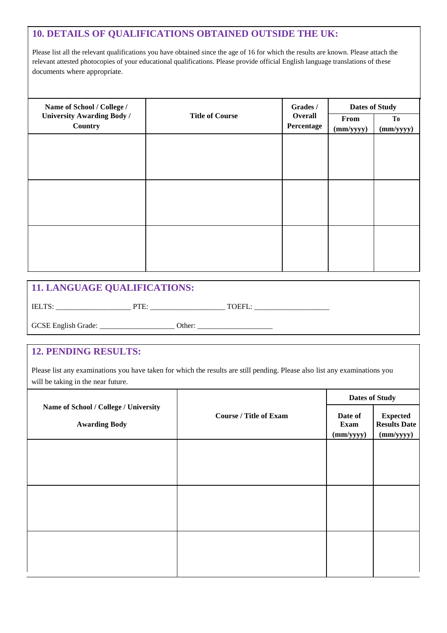### **10. DETAILS OF QUALIFICATIONS OBTAINED OUTSIDE THE UK:**

Please list all the relevant qualifications you have obtained since the age of 16 for which the results are known. Please attach the relevant attested photocopies of your educational qualifications. Please provide official English language translations of these documents where appropriate.

| Name of School / College /        | Grades /               |            | <b>Dates of Study</b> |                |
|-----------------------------------|------------------------|------------|-----------------------|----------------|
| <b>University Awarding Body /</b> | <b>Title of Course</b> | Overall    | From                  | T <sub>0</sub> |
| Country                           |                        | Percentage | (mm/yyyy)             | (mm/yyyy)      |
|                                   |                        |            |                       |                |
|                                   |                        |            |                       |                |
|                                   |                        |            |                       |                |
|                                   |                        |            |                       |                |
|                                   |                        |            |                       |                |
|                                   |                        |            |                       |                |
|                                   |                        |            |                       |                |
|                                   |                        |            |                       |                |
|                                   |                        |            |                       |                |
|                                   |                        |            |                       |                |
|                                   |                        |            |                       |                |
|                                   |                        |            |                       |                |
|                                   |                        |            |                       |                |
|                                   |                        |            |                       |                |
|                                   |                        |            |                       |                |
|                                   |                        |            |                       |                |
|                                   |                        |            |                       |                |

### **11. LANGUAGE QUALIFICATIONS:**

IELTS: \_\_\_\_\_\_\_\_\_\_\_\_\_\_\_\_\_\_\_\_ PTE: \_\_\_\_\_\_\_\_\_\_\_\_\_\_\_\_\_\_\_\_ TOEFL: \_\_\_\_\_\_\_\_\_\_\_\_\_\_\_\_\_\_\_\_

GCSE English Grade: \_\_\_\_\_\_\_\_\_\_\_\_\_\_\_\_\_\_\_\_ Other: \_\_\_\_\_\_\_\_\_\_\_\_\_\_\_\_\_\_\_\_

### **12. PENDING RESULTS:**

Please list any examinations you have taken for which the results are still pending. Please also list any examinations you will be taking in the near future.

| Name of School / College / University<br><b>Course / Title of Exam</b><br><b>Awarding Body</b> | <b>Dates of Study</b>        |                                                     |
|------------------------------------------------------------------------------------------------|------------------------------|-----------------------------------------------------|
|                                                                                                | Date of<br>Exam<br>(mm/yyyy) | <b>Expected</b><br><b>Results Date</b><br>(mm/yyyy) |
|                                                                                                |                              |                                                     |
|                                                                                                |                              |                                                     |
|                                                                                                |                              |                                                     |
|                                                                                                |                              |                                                     |
|                                                                                                |                              |                                                     |
|                                                                                                |                              |                                                     |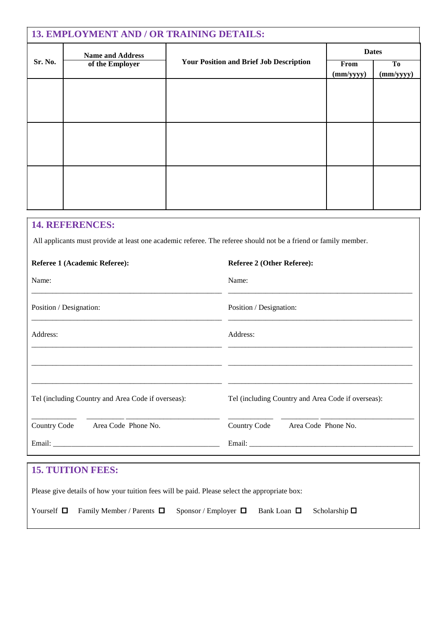| 13. EMPLOYMENT AND / OR TRAINING DETAILS: |                         |                                                |           |              |
|-------------------------------------------|-------------------------|------------------------------------------------|-----------|--------------|
|                                           | <b>Name and Address</b> |                                                |           | <b>Dates</b> |
| Sr. No.                                   | of the Employer         | <b>Your Position and Brief Job Description</b> | From      | To           |
|                                           |                         |                                                | (mm/yyyy) | (mm/yyyy)    |
|                                           |                         |                                                |           |              |
|                                           |                         |                                                |           |              |
|                                           |                         |                                                |           |              |
|                                           |                         |                                                |           |              |
|                                           |                         |                                                |           |              |
|                                           |                         |                                                |           |              |
|                                           |                         |                                                |           |              |
|                                           |                         |                                                |           |              |
|                                           |                         |                                                |           |              |
|                                           |                         |                                                |           |              |
|                                           |                         |                                                |           |              |
|                                           |                         |                                                |           |              |
|                                           |                         |                                                |           |              |
|                                           |                         |                                                |           |              |

### **14. REFERENCES:**

All applicants must provide at least one academic referee. The referee should not be a friend or family member.

| Referee 1 (Academic Referee):                                                                 | <b>Referee 2 (Other Referee):</b>                                                |  |
|-----------------------------------------------------------------------------------------------|----------------------------------------------------------------------------------|--|
| Name:                                                                                         | Name:                                                                            |  |
| Position / Designation:                                                                       | Position / Designation:                                                          |  |
| Address:                                                                                      | Address:                                                                         |  |
|                                                                                               |                                                                                  |  |
| Tel (including Country and Area Code if overseas):                                            | Tel (including Country and Area Code if overseas):                               |  |
| Country Code Area Code Phone No.                                                              | Country Code Area Code Phone No.                                                 |  |
|                                                                                               |                                                                                  |  |
|                                                                                               | ,我们也不会有什么?""我们的人,我们也不会有什么?""我们的人,我们也不会有什么?""我们的人,我们也不会有什么?""我们的人,我们也不会有什么?""我们的人 |  |
| <b>15. TUITION FEES:</b>                                                                      |                                                                                  |  |
| Please give details of how your tuition fees will be paid. Please select the appropriate box: |                                                                                  |  |
| Yourself $\Box$<br>Family Member / Parents $\Box$                                             | Sponsor / Employer $\Box$<br>Bank Loan $\Box$<br>Scholarship $\square$           |  |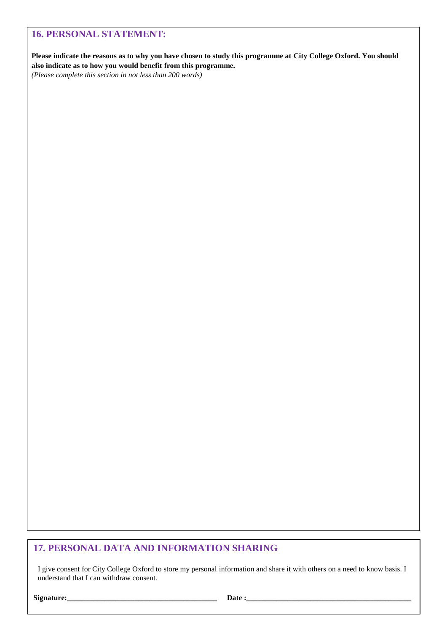### **16. PERSONAL STATEMENT:**

**Please indicate the reasons as to why you have chosen to study this programme at City College Oxford. You should also indicate as to how you would benefit from this programme.**

*(Please complete this section in not less than 200 words)*

### **17. PERSONAL DATA AND INFORMATION SHARING**

I give consent for City College Oxford to store my personal information and share it with others on a need to know basis. I understand that I can withdraw consent.

**Signature:\_\_\_\_\_\_\_\_\_\_\_\_\_\_\_\_\_\_\_\_\_\_\_\_\_\_\_\_\_\_\_\_\_\_\_\_\_\_\_\_ Date :\_\_\_\_\_\_\_\_\_\_\_\_\_\_\_\_\_\_\_\_\_\_\_\_\_\_\_\_\_\_\_\_\_\_\_\_\_\_\_\_\_\_\_\_**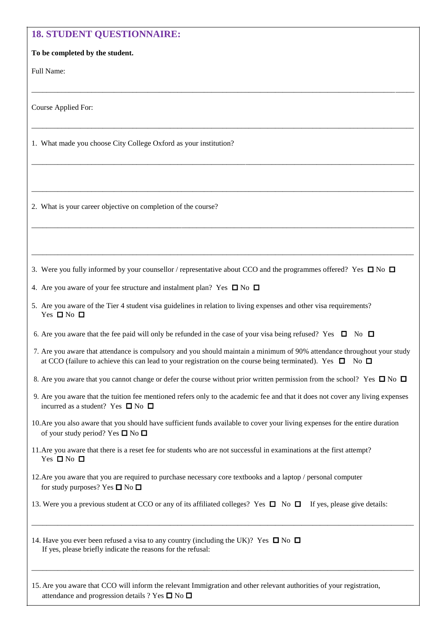| <b>18. STUDENT QUESTIONNAIRE:</b>                                                                                                                                                                                                               |
|-------------------------------------------------------------------------------------------------------------------------------------------------------------------------------------------------------------------------------------------------|
| To be completed by the student.                                                                                                                                                                                                                 |
| Full Name:                                                                                                                                                                                                                                      |
| Course Applied For:                                                                                                                                                                                                                             |
| 1. What made you choose City College Oxford as your institution?                                                                                                                                                                                |
|                                                                                                                                                                                                                                                 |
| 2. What is your career objective on completion of the course?                                                                                                                                                                                   |
|                                                                                                                                                                                                                                                 |
| 3. Were you fully informed by your counsellor / representative about CCO and the programmes offered? Yes $\Box$ No $\Box$                                                                                                                       |
| 4. Are you aware of your fee structure and instalment plan? Yes $\square$ No $\square$                                                                                                                                                          |
| 5. Are you aware of the Tier 4 student visa guidelines in relation to living expenses and other visa requirements?<br>Yes $\Box$ No $\Box$                                                                                                      |
| 6. Are you aware that the fee paid will only be refunded in the case of your visa being refused? Yes $\Box$ No $\Box$                                                                                                                           |
| 7. Are you aware that attendance is compulsory and you should maintain a minimum of 90% attendance throughout your study<br>at CCO (failure to achieve this can lead to your registration on the course being terminated). Yes $\Box$ No $\Box$ |
| 8. Are you aware that you cannot change or defer the course without prior written permission from the school? Yes $\Box$ No $\Box$                                                                                                              |
| 9. Are you aware that the tuition fee mentioned refers only to the academic fee and that it does not cover any living expenses<br>incurred as a student? Yes $\square$ No $\square$                                                             |
| 10. Are you also aware that you should have sufficient funds available to cover your living expenses for the entire duration<br>of your study period? Yes $\square$ No $\square$                                                                |
| 11. Are you aware that there is a reset fee for students who are not successful in examinations at the first attempt?<br>Yes $\Box$ No $\Box$                                                                                                   |
| 12. Are you aware that you are required to purchase necessary core textbooks and a laptop / personal computer<br>for study purposes? Yes $\square$ No $\square$                                                                                 |
| 13. Were you a previous student at CCO or any of its affiliated colleges? Yes $\Box$ No $\Box$ If yes, please give details:                                                                                                                     |
| 14. Have you ever been refused a visa to any country (including the UK)? Yes $\square$ No $\square$<br>If yes, please briefly indicate the reasons for the refusal:                                                                             |
| 15. Are you aware that CCO will inform the relevant Immigration and other relevant authorities of your registration,                                                                                                                            |

attendance and progression details ? Yes  $\square$  No  $\square$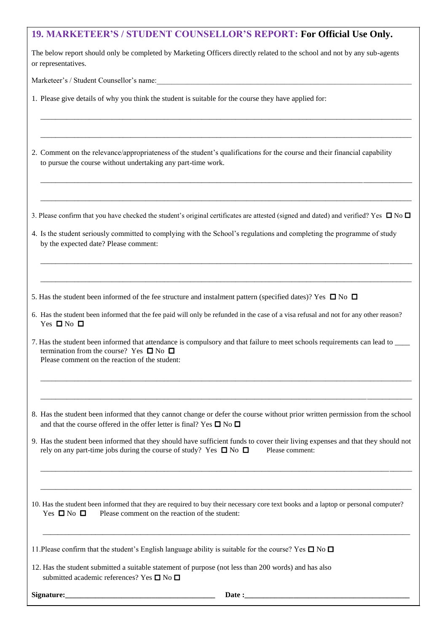### **19. MARKETEER'S / STUDENT COUNSELLOR'S REPORT: For Official Use Only.**

The below report should only be completed by Marketing Officers directly related to the school and not by any sub-agents or representatives.

\_\_\_\_\_\_\_\_\_\_\_\_\_\_\_\_\_\_\_\_\_\_\_\_\_\_\_\_\_\_\_\_\_\_\_\_\_\_\_\_\_\_\_\_\_\_\_\_\_\_\_\_\_\_\_\_\_\_\_\_\_\_\_\_\_\_\_\_\_\_\_\_\_\_\_\_\_\_\_\_\_\_\_\_\_\_\_\_\_\_\_\_\_\_\_\_\_\_\_

\_\_\_\_\_\_\_\_\_\_\_\_\_\_\_\_\_\_\_\_\_\_\_\_\_\_\_\_\_\_\_\_\_\_\_\_\_\_\_\_\_\_\_\_\_\_\_\_\_\_\_\_\_\_\_\_\_\_\_\_\_\_\_\_\_\_\_\_\_\_\_\_\_\_\_\_\_\_\_\_\_\_\_\_\_\_\_\_\_\_\_\_\_\_\_\_\_\_\_

\_\_\_\_\_\_\_\_\_\_\_\_\_\_\_\_\_\_\_\_\_\_\_\_\_\_\_\_\_\_\_\_\_\_\_\_\_\_\_\_\_\_\_\_\_\_\_\_\_\_\_\_\_\_\_\_\_\_\_\_\_\_\_\_\_\_\_\_\_\_\_\_\_\_\_\_\_\_\_\_\_\_\_\_\_\_\_\_\_\_\_\_\_\_\_\_\_\_\_

\_\_\_\_\_\_\_\_\_\_\_\_\_\_\_\_\_\_\_\_\_\_\_\_\_\_\_\_\_\_\_\_\_\_\_\_\_\_\_\_\_\_\_\_\_\_\_\_\_\_\_\_\_\_\_\_\_\_\_\_\_\_\_\_\_\_\_\_\_\_\_\_\_\_\_\_\_\_\_\_\_\_\_\_\_\_\_\_\_\_\_\_\_\_\_\_\_\_\_

\_\_\_\_\_\_\_\_\_\_\_\_\_\_\_\_\_\_\_\_\_\_\_\_\_\_\_\_\_\_\_\_\_\_\_\_\_\_\_\_\_\_\_\_\_\_\_\_\_\_\_\_\_\_\_\_\_\_\_\_\_\_\_\_\_\_\_\_\_\_\_\_\_\_\_\_\_\_\_\_\_\_\_\_\_\_\_\_\_\_\_\_\_\_\_\_\_\_\_

\_\_\_\_\_\_\_\_\_\_\_\_\_\_\_\_\_\_\_\_\_\_\_\_\_\_\_\_\_\_\_\_\_\_\_\_\_\_\_\_\_\_\_\_\_\_\_\_\_\_\_\_\_\_\_\_\_\_\_\_\_\_\_\_\_\_\_\_\_\_\_\_\_\_\_\_\_\_\_\_\_\_\_\_\_\_\_\_\_\_\_\_\_\_\_\_\_\_\_

Marketeer's / Student Counsellor's name:

1. Please give details of why you think the student is suitable for the course they have applied for:

2. Comment on the relevance/appropriateness of the student's qualifications for the course and their financial capability to pursue the course without undertaking any part-time work.

3. Please confirm that you have checked the student's original certificates are attested (signed and dated) and verified? Yes  $\Box$  No  $\Box$ 

4. Is the student seriously committed to complying with the School's regulations and completing the programme of study by the expected date? Please comment:

5. Has the student been informed of the fee structure and instalment pattern (specified dates)? Yes  $\Box$  No  $\Box$ 

6. Has the student been informed that the fee paid will only be refunded in the case of a visa refusal and not for any other reason? Yes  $\Box$  No  $\Box$ 

7. Has the student been informed that attendance is compulsory and that failure to meet schools requirements can lead to \_\_\_\_ termination from the course? Yes  $\Box$  No  $\Box$ Please comment on the reaction of the student:

8. Has the student been informed that they cannot change or defer the course without prior written permission from the school and that the course offered in the offer letter is final? Yes  $\square$  No  $\square$ 

\_\_\_\_\_\_\_\_\_\_\_\_\_\_\_\_\_\_\_\_\_\_\_\_\_\_\_\_\_\_\_\_\_\_\_\_\_\_\_\_\_\_\_\_\_\_\_\_\_\_\_\_\_\_\_\_\_\_\_\_\_\_\_\_\_\_\_\_\_\_\_\_\_\_\_\_\_\_\_\_\_\_\_\_\_\_\_\_\_\_\_\_\_\_\_\_\_\_\_

\_\_\_\_\_\_\_\_\_\_\_\_\_\_\_\_\_\_\_\_\_\_\_\_\_\_\_\_\_\_\_\_\_\_\_\_\_\_\_\_\_\_\_\_\_\_\_\_\_\_\_\_\_\_\_\_\_\_\_\_\_\_\_\_\_\_\_\_\_\_\_\_\_\_\_\_\_\_\_\_\_\_\_\_\_\_\_\_\_\_\_\_\_\_\_\_\_\_\_

9. Has the student been informed that they should have sufficient funds to cover their living expenses and that they should not rely on any part-time jobs during the course of study? Yes  $\Box$  No  $\Box$  Please comment:

\_\_\_\_\_\_\_\_\_\_\_\_\_\_\_\_\_\_\_\_\_\_\_\_\_\_\_\_\_\_\_\_\_\_\_\_\_\_\_\_\_\_\_\_\_\_\_\_\_\_\_\_\_\_\_\_\_\_\_\_\_\_\_\_\_\_\_\_\_\_\_\_\_\_\_\_\_\_\_\_\_\_\_\_\_\_\_\_\_\_\_\_\_\_\_\_\_\_\_

\_\_\_\_\_\_\_\_\_\_\_\_\_\_\_\_\_\_\_\_\_\_\_\_\_\_\_\_\_\_\_\_\_\_\_\_\_\_\_\_\_\_\_\_\_\_\_\_\_\_\_\_\_\_\_\_\_\_\_\_\_\_\_\_\_\_\_\_\_\_\_\_\_\_\_\_\_\_\_\_\_\_\_\_\_\_\_\_\_\_\_\_\_\_\_\_\_\_\_

\_\_\_\_\_\_\_\_\_\_\_\_\_\_\_\_\_\_\_\_\_\_\_\_\_\_\_\_\_\_\_\_\_\_\_\_\_\_\_\_\_\_\_\_\_\_\_\_\_\_\_\_\_\_\_\_\_\_\_\_\_\_\_\_\_\_\_\_\_\_\_\_\_\_\_\_\_\_\_\_\_\_\_\_\_\_\_\_\_\_\_\_\_\_\_\_\_\_

10. Has the student been informed that they are required to buy their necessary core text books and a laptop or personal computer? Yes  $\Box$  No  $\Box$  Please comment on the reaction of the student:

11. Please confirm that the student's English language ability is suitable for the course? Yes  $\Box$  No  $\Box$ 

12. Has the student submitted a suitable statement of purpose (not less than 200 words) and has also submitted academic references? Yes  $\square$  No  $\square$ 

**Signature:\_\_\_\_\_\_\_\_\_\_\_\_\_\_\_\_\_\_\_\_\_\_\_\_\_\_\_\_\_\_\_\_\_\_\_\_\_\_\_\_ Date :\_\_\_\_\_\_\_\_\_\_\_\_\_\_\_\_\_\_\_\_\_\_\_\_\_\_\_\_\_\_\_\_\_\_\_\_\_\_\_\_\_\_\_\_**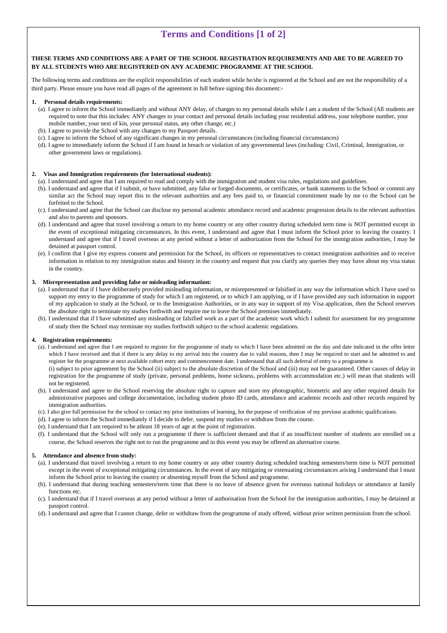## **Terms and Conditions [1 of 2]**

#### **THESE TERMS AND CONDITIONS ARE A PART OF THE SCHOOL REGISTRATION REQUIREMENTS AND ARE TO BE AGREED TO BY ALL STUDENTS WHO ARE REGISTERED ON ANY ACADEMIC PROGRAMME AT THE SCHOOL**

The following terms and conditions are the explicit responsibilities of each student while he/she is registered at the School and are not the responsibility of a third party. Please ensure you have read all pages of the agreement in full before signing this document:-

#### **1. Personal details requirements:**

- (a). I agree to inform the School immediately and without ANY delay, of changes to my personal details while I am a student of the School (All students are required to note that this includes: ANY changes to your contact and personal details including your residential address, your telephone number, your mobile number, your next of kin, your personal status, any other change, etc.)
- (b). I agree to provide the School with any changes to my Passport details.
- (c). I agree to inform the School of any significant changes in my personal circumstances (including financial circumstances)
- (d). I agree to immediately inform the School if I am found in breach or violation of any governmental laws (including: Civil, Criminal, Immigration, or other government laws or regulations).

#### **2. Visas and Immigration requirements (for International students):**

- (a). I understand and agree that I am required to read and comply with the immigration and student visa rules, regulations and guidelines.
- (b). I understand and agree that if I submit, or have submitted, any false or forged documents, or certificates, or bank statements to the School or commit any similar act the School may report this to the relevant authorities and any fees paid to, or financial commitment made by me to the School can be forfeited to the School.
- (c). I understand and agree that the School can disclose my personal academic attendance record and academic progression details to the relevant authorities and also to parents and sponsors.
- (d). I understand and agree that travel involving a return to my home country or any other country during scheduled term time is NOT permitted except in the event of exceptional mitigating circumstances. In this event, I understand and agree that I must inform the School prior to leaving the country. I understand and agree that if I travel overseas at any period without a letter of authorization from the School for the immigration authorities, I may be detained at passport control.
- (e). I confirm that I give my express consent and permission for the School, its officers or representatives to contact immigration authorities and to receive information in relation to my immigration status and history in the country and request that you clarify any queries they may have about my visa status in the country.

#### **3. Misrepresentation and providing false or misleading information:**

- (a). I understand that if I have deliberately provided misleading information, or misrepresented or falsified in any way the information which I have used to support my entry to the programme of study for which I am registered, or to which I am applying, or if I have provided any such information in support of my application to study at the School, or to the Immigration Authorities, or in any way in support of my Visa application, then the School reserves the absolute right to terminate my studies forthwith and require me to leave the School premises immediately.
- (b). I understand that if I have submitted any misleading or falsified work as a part of the academic work which I submit for assessment for my programme of study then the School may terminate my studies forthwith subject to the school academic regulations.

#### **4. Registration requirements:**

- (a). I understand and agree that I am required to register for the programme of study to which I have been admitted on the day and date indicated in the offer letter which I have received and that if there is any delay to my arrival into the country due to valid reasons, then I may be required to start and be admitted to and register for the programme at next available cohort entry and commencement date. I understand that all such deferral of entry to a programme is (i) subject to prior agreement by the School (ii) subject to the absolute discretion of the School and (iii) may not be guaranteed. Other causes of delay in registration for the programme of study (private, personal problems, home sickness, problems with accommodation etc.) will mean that students will not be registered.
- (b). I understand and agree to the School reserving the absolute right to capture and store my photographic, biometric and any other required details for administrative purposes and college documentation, including student photo ID cards, attendance and academic records and other records required by immigration authorities.
- (c). I also give full permission for the school to contact my prior institutions of learning, for the purpose of verification of my previous academic qualifications.
- (d). I agree to inform the School immediately if I decide to defer, suspend my studies or withdraw from the course.
- (e). I understand that I am required to be atleast 18 years of age at the point of registration.
- (f). I understand that the School will only run a programme if there is sufficient demand and that if an insufficient number of students are enrolled on a course, the School reserves the right not to run the programme and in this event you may be offered an alternative course.

#### **5. Attendance and absence from study:**

- (a). I understand that travel involving a return to my home country or any other country during scheduled teaching semesters/term time is NOT permitted except in the event of exceptional mitigating circumstances. In the event of any mitigating or extenuating circumstances arising I understand that I must inform the School prior to leaving the country or absenting myself from the School and programme.
- (b). I understand that during teaching semesters/term time that there is no leave of absence given for overseas national holidays or attendance at family functions etc.
- (c). I understand that if I travel overseas at any period without a letter of authorisation from the School for the immigration authorities, I may be detained at passport control.
- (d). I understand and agree that I cannot change, defer or withdraw from the programme of study offered, without prior written permission from the school.